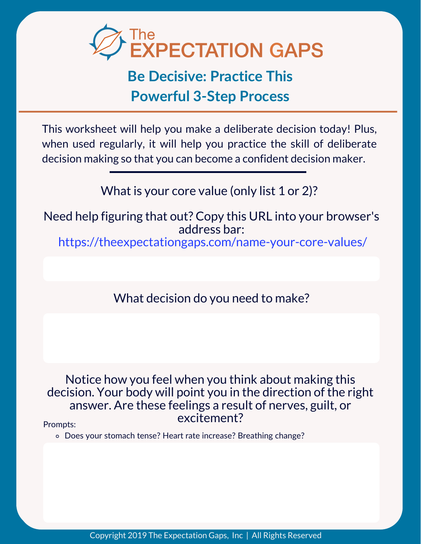

# **Powerful 3-Step Process**

This worksheet will help you make a deliberate decision today! Plus, when used regularly, it will help you practice the skill of deliberate decision making so that you can become a confident decision maker.

What is your core value (only list 1 or 2)?

Need help figuring that out? Copy this URL into your browser's address bar:

https://theexpectationgaps.com/name-your-core-values/

What decision do you need to make?

Notice how you feel when you think about making this decision. Your body will point you in the direction of the right answer. Are these feelings a result of nerves, guilt, or excitement?

Prompts:

Does your stomach tense? Heart rate increase? Breathing change?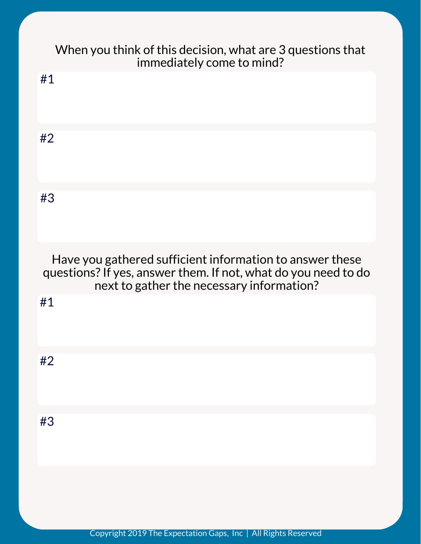| When you think of this decision, what are 3 questions that<br>immediately come to mind?                                                                                 |
|-------------------------------------------------------------------------------------------------------------------------------------------------------------------------|
| #1                                                                                                                                                                      |
| #2                                                                                                                                                                      |
| #3                                                                                                                                                                      |
| Have you gathered sufficient information to answer these<br>questions? If yes, answer them. If not, what do you need to do<br>next to gather the necessary information? |
| #1                                                                                                                                                                      |
| #2                                                                                                                                                                      |
| #3                                                                                                                                                                      |
|                                                                                                                                                                         |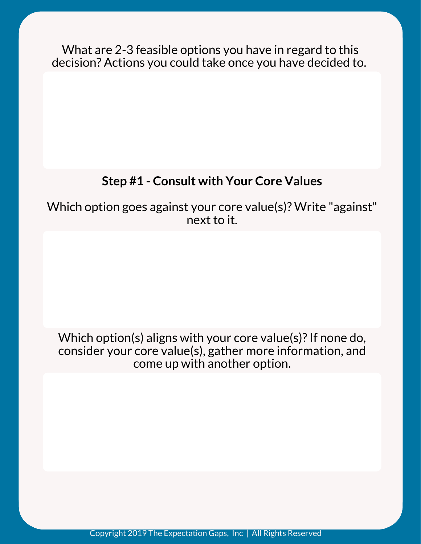What are 2-3 feasible options you have in regard to this decision? Actions you could take once you have decided to.

# **Step #1 - Consult with Your Core Values**

Which option goes against your core value(s)? Write "against" next to it.

Which option(s) aligns with your core value(s)? If none do, consider your core value(s), gather more information, and come up with another option.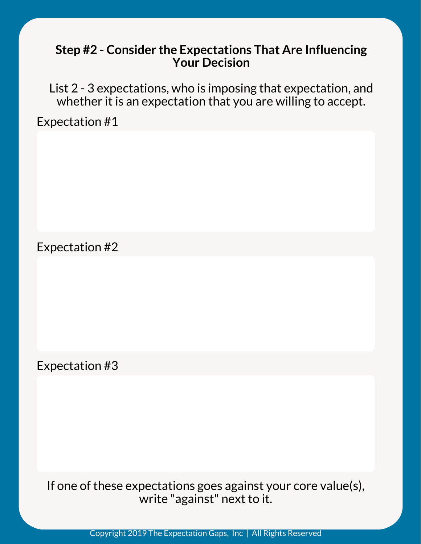#### **Step #2 - Consider the Expectations That Are Influencing Your Decision**

List 2 - 3 expectations, who is imposing that expectation, and whether it is an expectation that you are willing to accept.

Expectation #1

Expectation #2

Expectation #3

If one of these expectations goes against your core value(s), write "against" next to it.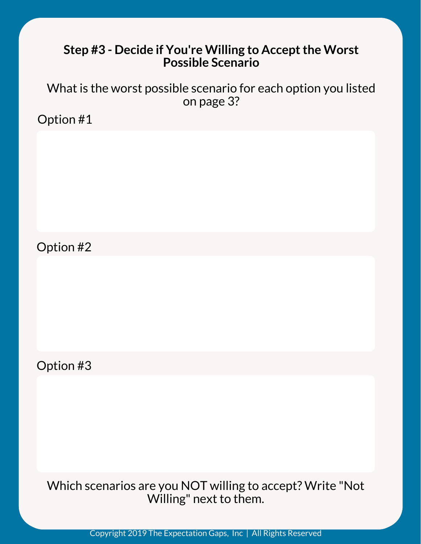### **Step #3 - Decide if You're Willing to Acceptthe Worst Possible Scenario**

What is the worst possible scenario for each option you listed on page 3?

Option #1

Option #2

Option #3

Which scenarios are you NOT willing to accept? Write "Not Willing" next to them.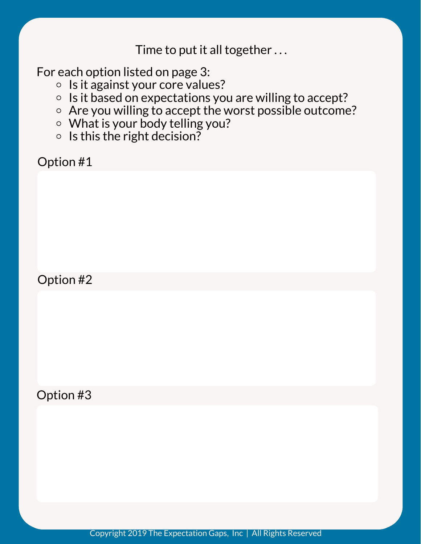Time to put it all together . . .

For each option listed on page 3:

- $\circ$  Is it against your core values?
- $\circ$  Is it based on expectations you are willing to accept?
- Are you willing to accept the worst possible outcome?
- What is your body telling you?
- $\circ$  Is this the right decision?

Option #1

Option #2

Option #3